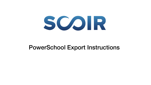

# PowerSchool Export Instructions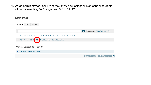**1.** As an administrator user, From the *Start Page*, select all high school students either by selecting "All" or grades "9 10 11 12".

## **Start Page**

| <b>Students</b> | Staff      | Parents                              |                                                     |  |          |                |                                     |       |
|-----------------|------------|--------------------------------------|-----------------------------------------------------|--|----------|----------------|-------------------------------------|-------|
|                 |            |                                      |                                                     |  |          |                |                                     |       |
|                 |            |                                      |                                                     |  | $\alpha$ |                | <b>Advanced</b> View Field List [?] |       |
|                 |            |                                      | A B C D E F G H I J K L M N O P Q R S T U V W X Y Z |  |          |                |                                     |       |
| 9               | 10 11 12 M | F                                    | All Stored Searches Stored Selections               |  |          |                |                                     |       |
|                 |            | <b>Current Student Selection (0)</b> |                                                     |  |          |                |                                     |       |
| 早               |            | The current selection is empty.      |                                                     |  |          |                |                                     |       |
|                 |            |                                      |                                                     |  |          | Select By Hand | Select Function $ \cdot $           | $[?]$ |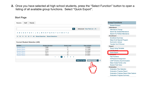**2.** Once you have selected all high school students, press the "Select Function" button to open a listing of all available group functions. Select "Quick Export".

**Start Dano** 

| Staff<br>Parents<br>Students               |                                                      |                                                                       |                                           | <b>Group Functions</b>                |
|--------------------------------------------|------------------------------------------------------|-----------------------------------------------------------------------|-------------------------------------------|---------------------------------------|
|                                            |                                                      |                                                                       |                                           | <b>Student Screens</b>                |
|                                            |                                                      |                                                                       |                                           | <b>Attendance</b>                     |
|                                            |                                                      | $\alpha$                                                              | <b>Advanced</b> View Field List [?]       | <b>Attendance Change</b>              |
|                                            | A B C D E F G H I J K L M N O P Q R S T U V W X Y Z  |                                                                       |                                           | <b>Search By Grades/Attendance</b>    |
|                                            |                                                      |                                                                       |                                           | <b>Search For Perfect Attendance</b>  |
|                                            | 9 10 11 12 M F All Stored Searches Stored Selections |                                                                       |                                           | <b>Enrollment</b>                     |
|                                            |                                                      |                                                                       |                                           | <b>Enrollment Summary</b>             |
|                                            |                                                      |                                                                       |                                           | <b>Mass Enroll Special Program</b>    |
| <b>Current Student Selection (449)</b>     |                                                      |                                                                       |                                           | <b>Re-Enroll in School</b>            |
|                                            |                                                      |                                                                       |                                           | <b>Transfer Out Of School</b>         |
| <b>Student</b>                             | <b>Student Number</b>                                | <b>Grade Level</b>                                                    | <b>Date of Birth</b>                      | <b>Export</b>                         |
| <b>Student Name</b>                        | 11987                                                | 11                                                                    | 1/1/2000                                  | <b>Export Using Template</b>          |
| <b>Student Name</b><br><b>Student Name</b> | 11654<br>12731                                       | 12                                                                    | 2/1/1999<br>3/1/2002                      | Liet Studente                         |
| <b>Student Name</b>                        | 12011                                                | 9<br>10                                                               | 4/1/2001                                  | <b>Quick Export</b>                   |
| <b>Student Name</b>                        | 12033                                                | 10                                                                    | 5/1/2001                                  | <u> E SILVANO I S</u>                 |
|                                            | <<                                                   | $\blacksquare$<br>$\overline{2}$<br>$\mathbf{3}$<br>5<br>4<br>$\,<\,$ |                                           | <b>Fee Functions</b>                  |
|                                            |                                                      |                                                                       |                                           | <b>ID/Password Assignment</b>         |
|                                            |                                                      |                                                                       | Select Function   v [2]<br>Select By Hand | <b>LDAP Directory Synchronization</b> |
|                                            |                                                      |                                                                       |                                           | <b>Mass Create Family Links</b>       |
|                                            |                                                      |                                                                       |                                           | <b>Student Field Value</b>            |
|                                            |                                                      |                                                                       |                                           | <b>Graduation</b>                     |
|                                            |                                                      |                                                                       |                                           | <b>Graduation Plan Selection</b>      |

**Graduation Progress Report** 

**Graduation Progress Report Data Capture Graduation Progress Summary**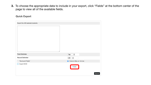**3.** To choose the appropriate data to include in your export, click "Fields" at the bottom center of the page to view all of the available fields.

### **Quick Export**

| Export the 449 selected students |                                          |  |  |  |  |
|----------------------------------|------------------------------------------|--|--|--|--|
|                                  |                                          |  |  |  |  |
| <b>Field Delimiter</b>           | $\div$<br>Tab                            |  |  |  |  |
| <b>Record Delimiter</b>          | ${\sf CR}$<br>$\left\{ \bullet \right\}$ |  |  |  |  |
| "Surround Fields"                | Column titles on 1st row                 |  |  |  |  |
| <b>Export DCID</b><br>۰          | <b>Fields</b><br>Submit                  |  |  |  |  |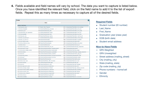**4.** Fields available and field names will vary by school. The data you want to capture is listed below. Once you have identified the relevant field, click on the field name to add it to the list of export fields. Repeat this as many times as necessary to capture all of the desired fields.

| <b>Fields</b>                             |                                                     | $\vert x \vert$                                      |
|-------------------------------------------|-----------------------------------------------------|------------------------------------------------------|
|                                           | Filter:                                             |                                                      |
| <b>Student Field Name</b>                 |                                                     |                                                      |
| 1. Activities.altar server                | 211. Student Web Password                           | 421. U StudentsUserFields.father home address        |
| 2. Activities.ambassador                  | 212. StudentCoreFields.act_composite<br>1,          | 422. U StudentsUserFields.father home city           |
| 3. Activities.art club                    | 213. StudentCoreFields.act_date                     | 423. U StudentsUserFields.father home state          |
| 4. Activities.athletic spirit association | 214. StudentCoreFields.act english                  | 424. U StudentsUserFields.father home zip            |
| 5. Activities.basketball                  | 215. StudentCoreFields.act_math                     | 425. U StudentsUserFields.father last name           |
| 6. Activities.book club                   | 216. StudentCoreFields.act_reading                  | 426. U StudentsUserFields.father matching gift       |
| 7. Activities.c 3rd team bb               | 217. StudentCoreFields.act_science                  | 427. U_StudentsUserFields.father_middle_name         |
| 8. Activities.c 3rd team fh               | 218. StudentCoreFields.afdc                         | 428. U_StudentsUserFields.father_occupation          |
| 9. Activities.cafeteria_aides             | 219. StudentCoreFields.afdcappnum                   | 429. U_StudentsUserFields.father_prefix              |
| 10. Activities.children_of_mary           | 220. StudentCoreFields.allergies                    | 430. U_StudentsUserFields.father_work_phone          |
| 11. Activities.chorus                     | 221. StudentCoreFields.area                         | 431. U_StudentsUserFields.financial_aid              |
| 12. Activities.cross_country              | 222. StudentCoreFields.ate skill cert               | 432. U_StudentsUserFields.financially_responsible    |
| 13. Activities.dance troupe               | 223. StudentCoreFields.autosend attendancedetail    | 433. U StudentsUserFields.firstpref                  |
| 14. Activities.devon theater society      | 224. StudentCoreFields.autosend balancealert        | 434. U StudentsUserFields.food allergy               |
| 15. Activities festival                   | 225. StudentCoreFields.autosend_gradedetail         | 435. U StudentsUserFields.foreign_language_placement |
| 16. Activities.fhs                        | 226. StudentCoreFields.autosend howoften            | 436. U StudentsUserFields, french lang club          |
| 17. Activities.field hockey               | 227. StudentCoreFields.autosend_schoolannouncements | 437. U StudentsUserFields.graduation_date            |
| 18. Activities.golf                       | 228. StudentCoreFields.autosend summary             | 438. U StudentsUserFields.graphic_design             |
| 19. Activities.handbells                  | 229. StudentCoreFields.awards                       | 439. U StudentsUserFields.health issues              |
| 20. Activities.indoor track               | 230. StudentCoreFields.c 504 information            | 440. U StudentsUserFields.honor level                |
| 21. Activities.lacrosse                   | 231. StudentCoreFields.career_goal                  | 441. U_StudentsUserFields.hspt_csq                   |
| 22. Activities lhs                        | 232. StudentCoreFields.cip_code                     | 442. U StudentsUserFields.hspt language              |
| 23. Activities.light_sound_crew           | 233. StudentCoreFields.competencies                 | 443. U StudentsUserFields.hspt math                  |
| 24. Activities.madrigal singers           | 234. StudentCoreFields.crt 7thmath                  | 444. U StudentsUserFields.hspt national percentile   |
| 25. Activities.malvern_theater_company    | 235. StudentCoreFields.crt 7thscience               | 445. U_StudentsUserFields.hspt_quantitative          |
| 26. Activities.mandarin club              | 236. StudentCoreFields.crt 8thscience               | 446. U StudentsUserFields.hspt reading               |
| 27. Activities.marian masques             | 237. StudentCoreFields.crt_applemath2               | 447. U StudentsUserFields.hspt verbal                |
| 28. Activities.math hs                    | 238. StudentCoreFields.crt_applmath1                | 448. U StudentsUserFields.iep                        |
| 29. Activities mathletes                  | 239. StudentCoreFields.crt_biology                  | 449. U StudentsUserFields.ihm 1 full name            |

#### **Required Fields**

- ◉ Student number (ID number)
- **Last Name**
- First\_Name
- Graduation year (class year)
- DOB (birth date)
- Student email address

#### **Nice-to-Have Fields**

- **⊙** GPA Weighted
- 㽋 GPA Unweighted
- 㽋 Street address (mailing\_street)
- 㽋 City (mailing\_city)
- ⊙ State (mailing state)
- $\odot$  Zip code (mailing zip)
- 㽋 Phone numbers home/cell
- 㽋 Gender
- ⊙ Ethnicity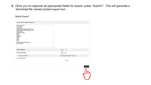**3.** Once you've captures all appropriate fields for export, press "Submit." This will generate a download file named *student.export.text*.

#### **Quick Export**

| Export the 449 selected students                                                                                                                                                                                                                                        |                          |
|-------------------------------------------------------------------------------------------------------------------------------------------------------------------------------------------------------------------------------------------------------------------------|--------------------------|
| Student_Number<br>First_Name<br>Last_Name<br>StudentCoreFields.graduation_year<br>U_StudentsUserFields.student_email<br>Simple_GPA<br>Cumulative_GPA<br><b>DOB</b><br>Gender<br>Ethnicity<br>Street<br>City<br>State<br>Zip<br>U_StudentsUserFields.phone<br>Home_Phone |                          |
| <b>Field Delimiter</b>                                                                                                                                                                                                                                                  | $\div$<br>Tab            |
| <b>Record Delimiter</b>                                                                                                                                                                                                                                                 | $\div$<br>CR             |
| "Surround Fields"                                                                                                                                                                                                                                                       | Column titles on 1st row |
| <b>Export DCID</b>                                                                                                                                                                                                                                                      |                          |
|                                                                                                                                                                                                                                                                         | <b>Fields</b>            |
|                                                                                                                                                                                                                                                                         |                          |
|                                                                                                                                                                                                                                                                         | Submit                   |
|                                                                                                                                                                                                                                                                         | יתון.<br>.               |